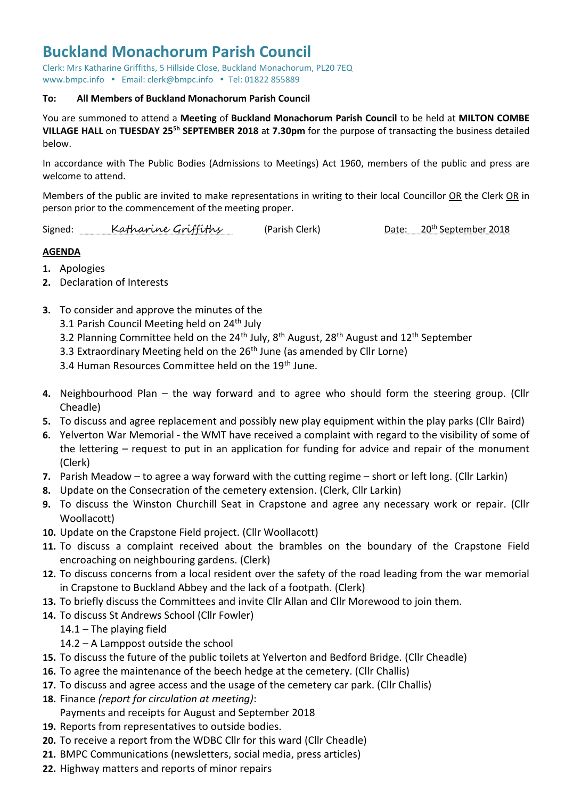## **Buckland Monachorum Parish Council**

Clerk: Mrs Katharine Griffiths, 5 Hillside Close, Buckland Monachorum, PL20 7EQ [www.bmpc.info](http://www.bmpc.info/) · Email: clerk@bmpc.info · Tel: 01822 855889

## **To: All Members of Buckland Monachorum Parish Council**

You are summoned to attend a **Meeting** of **Buckland Monachorum Parish Council** to be held at **MILTON COMBE VILLAGE HALL** on **TUESDAY 25 5h SEPTEMBER 2018** at **7.30pm** for the purpose of transacting the business detailed below.

In accordance with The Public Bodies (Admissions to Meetings) Act 1960, members of the public and press are welcome to attend.

Members of the public are invited to make representations in writing to their local Councillor OR the Clerk OR in person prior to the commencement of the meeting proper.

Signed: Katharine Griffiths (Parish Clerk) Date: 20<sup>th</sup> September 2018

## **AGENDA**

- **1.** Apologies
- **2.** Declaration of Interests
- **3.** To consider and approve the minutes of the
	- 3.1 Parish Council Meeting held on 24<sup>th</sup> July
	- 3.2 Planning Committee held on the 24<sup>th</sup> July, 8<sup>th</sup> August, 28<sup>th</sup> August and 12<sup>th</sup> September
	- 3.3 Extraordinary Meeting held on the 26<sup>th</sup> June (as amended by Cllr Lorne)

3.4 Human Resources Committee held on the 19<sup>th</sup> June.

- **4.** Neighbourhood Plan the way forward and to agree who should form the steering group. (Cllr Cheadle)
- **5.** To discuss and agree replacement and possibly new play equipment within the play parks (Cllr Baird)
- **6.** Yelverton War Memorial the WMT have received a complaint with regard to the visibility of some of the lettering – request to put in an application for funding for advice and repair of the monument (Clerk)
- **7.** Parish Meadow to agree a way forward with the cutting regime short or left long. (Cllr Larkin)
- **8.** Update on the Consecration of the cemetery extension. (Clerk, Cllr Larkin)
- **9.** To discuss the Winston Churchill Seat in Crapstone and agree any necessary work or repair. (Cllr Woollacott)
- **10.** Update on the Crapstone Field project. (Cllr Woollacott)
- **11.** To discuss a complaint received about the brambles on the boundary of the Crapstone Field encroaching on neighbouring gardens. (Clerk)
- **12.** To discuss concerns from a local resident over the safety of the road leading from the war memorial in Crapstone to Buckland Abbey and the lack of a footpath. (Clerk)
- **13.** To briefly discuss the Committees and invite Cllr Allan and Cllr Morewood to join them.
- **14.** To discuss St Andrews School (Cllr Fowler)
	- 14.1 The playing field
	- 14.2 A Lamppost outside the school
- **15.** To discuss the future of the public toilets at Yelverton and Bedford Bridge. (Cllr Cheadle)
- **16.** To agree the maintenance of the beech hedge at the cemetery. (Cllr Challis)
- **17.** To discuss and agree access and the usage of the cemetery car park. (Cllr Challis)
- **18.** Finance *(report for circulation at meeting)*: Payments and receipts for August and September 2018
- **19.** Reports from representatives to outside bodies.
- **20.** To receive a report from the WDBC Cllr for this ward (Cllr Cheadle)
- **21.** BMPC Communications (newsletters, social media, press articles)
- **22.** Highway matters and reports of minor repairs